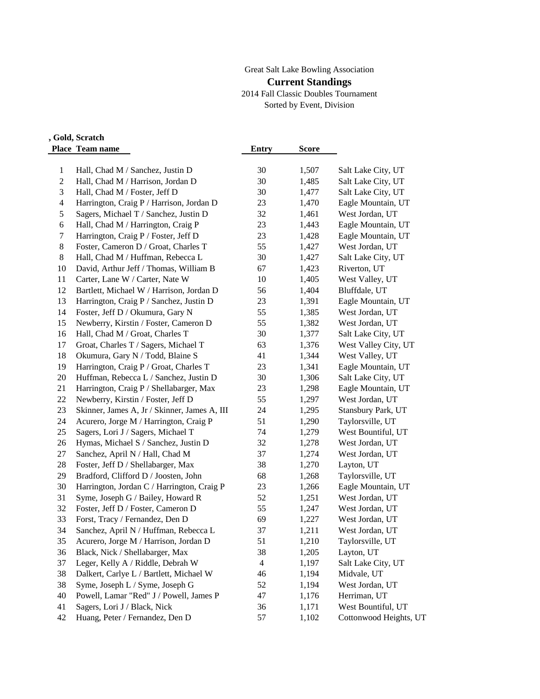# Great Salt Lake Bowling Association

#### **Current Standings**

2014 Fall Classic Doubles Tournament Sorted by Event, Division

## **Doubles, Gold, Scratch Place Team name Entry Score**

| 1                        | Hall, Chad M / Sanchez, Justin D             | 30             | 1,507 | Salt Lake City, UT     |
|--------------------------|----------------------------------------------|----------------|-------|------------------------|
| $\overline{c}$           | Hall, Chad M / Harrison, Jordan D            | 30             | 1,485 | Salt Lake City, UT     |
| 3                        | Hall, Chad M / Foster, Jeff D                | 30             | 1,477 | Salt Lake City, UT     |
| $\overline{\mathcal{A}}$ | Harrington, Craig P / Harrison, Jordan D     | 23             | 1,470 | Eagle Mountain, UT     |
| 5                        | Sagers, Michael T / Sanchez, Justin D        | 32             | 1,461 | West Jordan, UT        |
| 6                        | Hall, Chad M / Harrington, Craig P           | 23             | 1,443 | Eagle Mountain, UT     |
| 7                        | Harrington, Craig P / Foster, Jeff D         | 23             | 1,428 | Eagle Mountain, UT     |
| 8                        | Foster, Cameron D / Groat, Charles T         | 55             | 1,427 | West Jordan, UT        |
| 8                        | Hall, Chad M / Huffman, Rebecca L            | 30             | 1,427 | Salt Lake City, UT     |
| 10                       | David, Arthur Jeff / Thomas, William B       | 67             | 1,423 | Riverton, UT           |
| 11                       | Carter, Lane W / Carter, Nate W              | 10             | 1,405 | West Valley, UT        |
| 12                       | Bartlett, Michael W / Harrison, Jordan D     | 56             | 1,404 | Bluffdale, UT          |
| 13                       | Harrington, Craig P / Sanchez, Justin D      | 23             | 1,391 | Eagle Mountain, UT     |
| 14                       | Foster, Jeff D / Okumura, Gary N             | 55             | 1,385 | West Jordan, UT        |
| 15                       | Newberry, Kirstin / Foster, Cameron D        | 55             | 1,382 | West Jordan, UT        |
| 16                       | Hall, Chad M / Groat, Charles T              | 30             | 1,377 | Salt Lake City, UT     |
| 17                       | Groat, Charles T / Sagers, Michael T         | 63             | 1,376 | West Valley City, UT   |
| 18                       | Okumura, Gary N / Todd, Blaine S             | 41             | 1,344 | West Valley, UT        |
| 19                       | Harrington, Craig P / Groat, Charles T       | 23             | 1,341 | Eagle Mountain, UT     |
| 20                       | Huffman, Rebecca L / Sanchez, Justin D       | 30             | 1,306 | Salt Lake City, UT     |
| 21                       | Harrington, Craig P / Shellabarger, Max      | 23             | 1,298 | Eagle Mountain, UT     |
| 22                       | Newberry, Kirstin / Foster, Jeff D           | 55             | 1,297 | West Jordan, UT        |
| 23                       | Skinner, James A, Jr / Skinner, James A, III | 24             | 1,295 | Stansbury Park, UT     |
| 24                       | Acurero, Jorge M / Harrington, Craig P       | 51             | 1,290 | Taylorsville, UT       |
| 25                       | Sagers, Lori J / Sagers, Michael T           | 74             | 1,279 | West Bountiful, UT     |
| 26                       | Hymas, Michael S / Sanchez, Justin D         | 32             | 1,278 | West Jordan, UT        |
| 27                       | Sanchez, April N / Hall, Chad M              | 37             | 1,274 | West Jordan, UT        |
| 28                       | Foster, Jeff D / Shellabarger, Max           | 38             | 1,270 | Layton, UT             |
| 29                       | Bradford, Clifford D / Joosten, John         | 68             | 1,268 | Taylorsville, UT       |
| 30                       | Harrington, Jordan C / Harrington, Craig P   | 23             | 1,266 | Eagle Mountain, UT     |
| 31                       | Syme, Joseph G / Bailey, Howard R            | 52             | 1,251 | West Jordan, UT        |
| 32                       | Foster, Jeff D / Foster, Cameron D           | 55             | 1,247 | West Jordan, UT        |
| 33                       | Forst, Tracy / Fernandez, Den D              | 69             | 1,227 | West Jordan, UT        |
| 34                       | Sanchez, April N / Huffman, Rebecca L        | 37             | 1,211 | West Jordan, UT        |
| 35                       | Acurero, Jorge M / Harrison, Jordan D        | 51             | 1,210 | Taylorsville, UT       |
| 36                       | Black, Nick / Shellabarger, Max              | 38             | 1,205 | Layton, UT             |
| 37                       | Leger, Kelly A / Riddle, Debrah W            | $\overline{4}$ | 1,197 | Salt Lake City, UT     |
| 38                       | Dalkert, Carlye L / Bartlett, Michael W      | 46             | 1,194 | Midvale, UT            |
| 38                       | Syme, Joseph L / Syme, Joseph G              | 52             | 1,194 | West Jordan, UT        |
| 40                       | Powell, Lamar "Red" J / Powell, James P      | 47             | 1,176 | Herriman, UT           |
| 41                       | Sagers, Lori J / Black, Nick                 | 36             | 1,171 | West Bountiful, UT     |
| 42                       | Huang, Peter / Fernandez, Den D              | 57             | 1,102 | Cottonwood Heights, UT |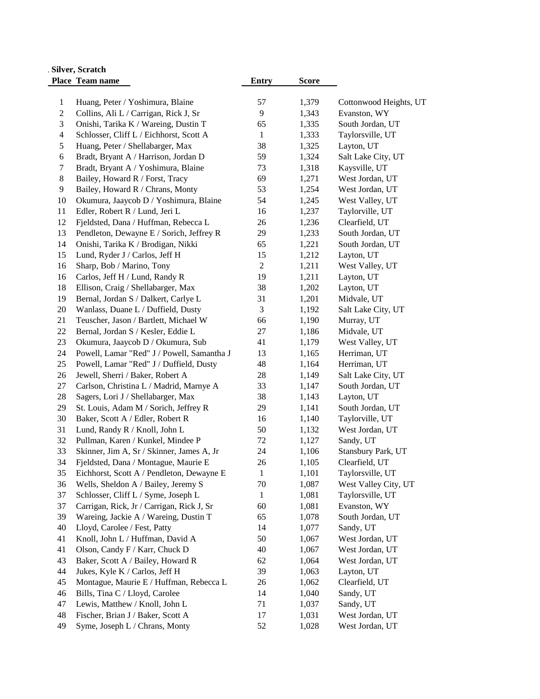| , Silver, Scratch       |                                            |                |              |                        |  |
|-------------------------|--------------------------------------------|----------------|--------------|------------------------|--|
|                         | Place Team name                            | Entry          | <b>Score</b> |                        |  |
|                         |                                            |                |              |                        |  |
| $\mathbf{1}$            | Huang, Peter / Yoshimura, Blaine           | 57             | 1,379        | Cottonwood Heights, UT |  |
| $\sqrt{2}$              | Collins, Ali L / Carrigan, Rick J, Sr      | 9              | 1,343        | Evanston, WY           |  |
| 3                       | Onishi, Tarika K / Wareing, Dustin T       | 65             | 1,335        | South Jordan, UT       |  |
| $\overline{\mathbf{4}}$ | Schlosser, Cliff L / Eichhorst, Scott A    | $\mathbf{1}$   | 1,333        | Taylorsville, UT       |  |
| 5                       | Huang, Peter / Shellabarger, Max           | 38             | 1,325        | Layton, UT             |  |
| 6                       | Bradt, Bryant A / Harrison, Jordan D       | 59             | 1,324        | Salt Lake City, UT     |  |
| $\boldsymbol{7}$        | Bradt, Bryant A / Yoshimura, Blaine        | 73             | 1,318        | Kaysville, UT          |  |
| $\,8\,$                 | Bailey, Howard R / Forst, Tracy            | 69             | 1,271        | West Jordan, UT        |  |
| 9                       | Bailey, Howard R / Chrans, Monty           | 53             | 1,254        | West Jordan, UT        |  |
| 10                      | Okumura, Jaaycob D / Yoshimura, Blaine     | 54             | 1,245        | West Valley, UT        |  |
| 11                      | Edler, Robert R / Lund, Jeri L             | 16             | 1,237        | Taylorville, UT        |  |
| 12                      | Fjeldsted, Dana / Huffman, Rebecca L       | 26             | 1,236        | Clearfield, UT         |  |
| 13                      | Pendleton, Dewayne E / Sorich, Jeffrey R   | 29             | 1,233        | South Jordan, UT       |  |
| 14                      | Onishi, Tarika K / Brodigan, Nikki         | 65             | 1,221        | South Jordan, UT       |  |
| 15                      | Lund, Ryder J / Carlos, Jeff H             | 15             | 1,212        | Layton, UT             |  |
| 16                      | Sharp, Bob / Marino, Tony                  | $\sqrt{2}$     | 1,211        | West Valley, UT        |  |
| 16                      | Carlos, Jeff H / Lund, Randy R             | 19             | 1,211        | Layton, UT             |  |
| 18                      | Ellison, Craig / Shellabarger, Max         | 38             | 1,202        | Layton, UT             |  |
| 19                      | Bernal, Jordan S / Dalkert, Carlye L       | 31             | 1,201        | Midvale, UT            |  |
| 20                      | Wanlass, Duane L / Duffield, Dusty         | $\mathfrak{Z}$ | 1,192        | Salt Lake City, UT     |  |
| 21                      | Teuscher, Jason / Bartlett, Michael W      | 66             | 1,190        | Murray, UT             |  |
| 22                      | Bernal, Jordan S / Kesler, Eddie L         | 27             | 1,186        | Midvale, UT            |  |
| 23                      | Okumura, Jaaycob D / Okumura, Sub          | 41             | 1,179        | West Valley, UT        |  |
| 24                      | Powell, Lamar "Red" J / Powell, Samantha J | 13             | 1,165        | Herriman, UT           |  |
| 25                      | Powell, Lamar "Red" J / Duffield, Dusty    | 48             | 1,164        | Herriman, UT           |  |
| 26                      | Jewell, Sherri / Baker, Robert A           | 28             | 1,149        | Salt Lake City, UT     |  |
| 27                      | Carlson, Christina L / Madrid, Marnye A    | 33             | 1,147        | South Jordan, UT       |  |
| 28                      | Sagers, Lori J / Shellabarger, Max         | 38             | 1,143        | Layton, UT             |  |
| 29                      | St. Louis, Adam M / Sorich, Jeffrey R      | 29             | 1,141        | South Jordan, UT       |  |
| 30                      | Baker, Scott A / Edler, Robert R           | 16             | 1,140        | Taylorville, UT        |  |
| 31                      | Lund, Randy R / Knoll, John L              | 50             | 1,132        | West Jordan, UT        |  |
| 32                      | Pullman, Karen / Kunkel, Mindee P          | 72             | 1,127        | Sandy, UT              |  |
| 33                      | Skinner, Jim A, Sr / Skinner, James A, Jr  | 24             | 1,106        | Stansbury Park, UT     |  |
| 34                      | Fjeldsted, Dana / Montague, Maurie E       | 26             | 1,105        | Clearfield, UT         |  |
| 35                      | Eichhorst, Scott A / Pendleton, Dewayne E  | 1              | 1,101        | Taylorsville, UT       |  |
| 36                      | Wells, Sheldon A / Bailey, Jeremy S        | 70             | 1,087        | West Valley City, UT   |  |
| 37                      | Schlosser, Cliff L / Syme, Joseph L        | $\mathbf{1}$   | 1,081        | Taylorsville, UT       |  |
| 37                      | Carrigan, Rick, Jr / Carrigan, Rick J, Sr  | 60             | 1,081        | Evanston, WY           |  |
| 39                      | Wareing, Jackie A / Wareing, Dustin T      | 65             | 1,078        | South Jordan, UT       |  |
| 40                      | Lloyd, Carolee / Fest, Patty               | 14             | 1,077        | Sandy, UT              |  |
| 41                      | Knoll, John L / Huffman, David A           | 50             | 1,067        | West Jordan, UT        |  |
| 41                      | Olson, Candy F / Karr, Chuck D             | 40             | 1,067        | West Jordan, UT        |  |
| 43                      | Baker, Scott A / Bailey, Howard R          | 62             | 1,064        | West Jordan, UT        |  |
| 44                      | Jukes, Kyle K / Carlos, Jeff H             | 39             | 1,063        | Layton, UT             |  |
| 45                      | Montague, Maurie E / Huffman, Rebecca L    | 26             | 1,062        | Clearfield, UT         |  |
| 46                      | Bills, Tina C / Lloyd, Carolee             | 14             | 1,040        | Sandy, UT              |  |
| 47                      | Lewis, Matthew / Knoll, John L             | 71             | 1,037        | Sandy, UT              |  |
| 48                      | Fischer, Brian J / Baker, Scott A          | 17             | 1,031        | West Jordan, UT        |  |
| 49                      | Syme, Joseph L / Chrans, Monty             | 52             | 1,028        | West Jordan, UT        |  |